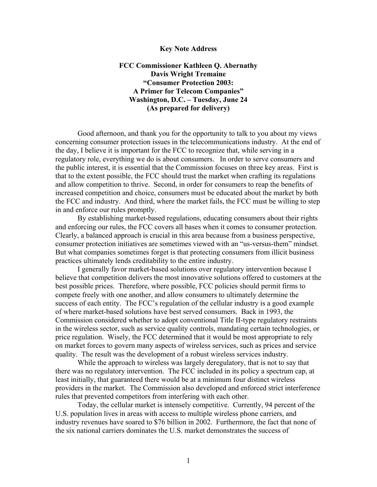## **Key Note Address**

**FCC Commissioner Kathleen Q. Abernathy Davis Wright Tremaine "Consumer Protection 2003: A Primer for Telecom Companies" Washington, D.C. – Tuesday, June 24 (As prepared for delivery)** 

Good afternoon, and thank you for the opportunity to talk to you about my views concerning consumer protection issues in the telecommunications industry. At the end of the day, I believe it is important for the FCC to recognize that, while serving in a regulatory role, everything we do is about consumers. In order to serve consumers and the public interest, it is essential that the Commission focuses on three key areas. First is that to the extent possible, the FCC should trust the market when crafting its regulations and allow competition to thrive. Second, in order for consumers to reap the benefits of increased competition and choice, consumers must be educated about the market by both the FCC and industry. And third, where the market fails, the FCC must be willing to step in and enforce our rules promptly.

By establishing market-based regulations, educating consumers about their rights and enforcing our rules, the FCC covers all bases when it comes to consumer protection. Clearly, a balanced approach is crucial in this area because from a business perspective, consumer protection initiatives are sometimes viewed with an "us-versus-them" mindset. But what companies sometimes forget is that protecting consumers from illicit business practices ultimately lends creditability to the entire industry.

I generally favor market-based solutions over regulatory intervention because I believe that competition delivers the most innovative solutions offered to customers at the best possible prices. Therefore, where possible, FCC policies should permit firms to compete freely with one another, and allow consumers to ultimately determine the success of each entity. The FCC's regulation of the cellular industry is a good example of where market-based solutions have best served consumers. Back in 1993, the Commission considered whether to adopt conventional Title II-type regulatory restraints in the wireless sector, such as service quality controls, mandating certain technologies, or price regulation. Wisely, the FCC determined that it would be most appropriate to rely on market forces to govern many aspects of wireless services, such as prices and service quality. The result was the development of a robust wireless services industry.

While the approach to wireless was largely deregulatory, that is not to say that there was no regulatory intervention. The FCC included in its policy a spectrum cap, at least initially, that guaranteed there would be at a minimum four distinct wireless providers in the market. The Commission also developed and enforced strict interference rules that prevented competitors from interfering with each other.

Today, the cellular market is intensely competitive. Currently, 94 percent of the U.S. population lives in areas with access to multiple wireless phone carriers, and industry revenues have soared to \$76 billion in 2002. Furthermore, the fact that none of the six national carriers dominates the U.S. market demonstrates the success of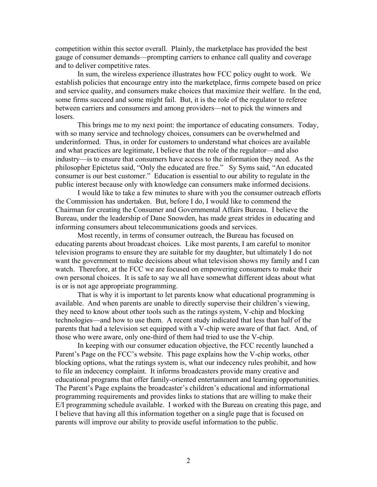competition within this sector overall. Plainly, the marketplace has provided the best gauge of consumer demands—prompting carriers to enhance call quality and coverage and to deliver competitive rates.

In sum, the wireless experience illustrates how FCC policy ought to work. We establish policies that encourage entry into the marketplace, firms compete based on price and service quality, and consumers make choices that maximize their welfare. In the end, some firms succeed and some might fail. But, it is the role of the regulator to referee between carriers and consumers and among providers—not to pick the winners and losers.

This brings me to my next point: the importance of educating consumers. Today, with so many service and technology choices, consumers can be overwhelmed and underinformed. Thus, in order for customers to understand what choices are available and what practices are legitimate, I believe that the role of the regulator—and also industry—is to ensure that consumers have access to the information they need. As the philosopher Epictetus said, "Only the educated are free." Sy Syms said, "An educated consumer is our best customer." Education is essential to our ability to regulate in the public interest because only with knowledge can consumers make informed decisions.

I would like to take a few minutes to share with you the consumer outreach efforts the Commission has undertaken. But, before I do, I would like to commend the Chairman for creating the Consumer and Governmental Affairs Bureau. I believe the Bureau, under the leadership of Dane Snowden, has made great strides in educating and informing consumers about telecommunications goods and services.

Most recently, in terms of consumer outreach, the Bureau has focused on educating parents about broadcast choices. Like most parents, I am careful to monitor television programs to ensure they are suitable for my daughter, but ultimately I do not want the government to make decisions about what television shows my family and I can watch. Therefore, at the FCC we are focused on empowering consumers to make their own personal choices. It is safe to say we all have somewhat different ideas about what is or is not age appropriate programming.

That is why it is important to let parents know what educational programming is available. And when parents are unable to directly supervise their children's viewing, they need to know about other tools such as the ratings system, V-chip and blocking technologies—and how to use them. A recent study indicated that less than half of the parents that had a television set equipped with a V-chip were aware of that fact. And, of those who were aware, only one-third of them had tried to use the V-chip.

In keeping with our consumer education objective, the FCC recently launched a Parent's Page on the FCC's website. This page explains how the V-chip works, other blocking options, what the ratings system is, what our indecency rules prohibit, and how to file an indecency complaint. It informs broadcasters provide many creative and educational programs that offer family-oriented entertainment and learning opportunities. The Parent's Page explains the broadcaster's children's educational and informational programming requirements and provides links to stations that are willing to make their E/I programming schedule available. I worked with the Bureau on creating this page, and I believe that having all this information together on a single page that is focused on parents will improve our ability to provide useful information to the public.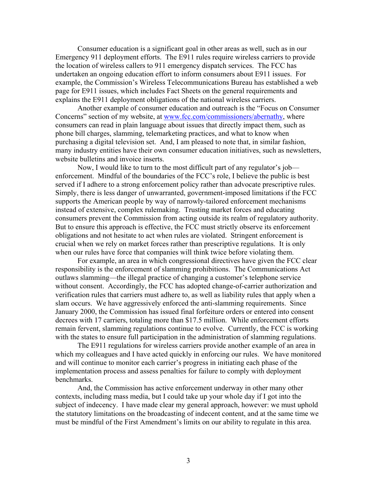Consumer education is a significant goal in other areas as well, such as in our Emergency 911 deployment efforts. The E911 rules require wireless carriers to provide the location of wireless callers to 911 emergency dispatch services. The FCC has undertaken an ongoing education effort to inform consumers about E911 issues. For example, the Commission's Wireless Telecommunications Bureau has established a web page for E911 issues, which includes Fact Sheets on the general requirements and explains the E911 deployment obligations of the national wireless carriers.

Another example of consumer education and outreach is the "Focus on Consumer Concerns" section of my website, at www.fcc.com/commissioners/abernathy, where consumers can read in plain language about issues that directly impact them, such as phone bill charges, slamming, telemarketing practices, and what to know when purchasing a digital television set. And, I am pleased to note that, in similar fashion, many industry entities have their own consumer education initiatives, such as newsletters, website bulletins and invoice inserts.

Now, I would like to turn to the most difficult part of any regulator's job enforcement. Mindful of the boundaries of the FCC's role, I believe the public is best served if I adhere to a strong enforcement policy rather than advocate prescriptive rules. Simply, there is less danger of unwarranted, government-imposed limitations if the FCC supports the American people by way of narrowly-tailored enforcement mechanisms instead of extensive, complex rulemaking. Trusting market forces and educating consumers prevent the Commission from acting outside its realm of regulatory authority. But to ensure this approach is effective, the FCC must strictly observe its enforcement obligations and not hesitate to act when rules are violated. Stringent enforcement is crucial when we rely on market forces rather than prescriptive regulations. It is only when our rules have force that companies will think twice before violating them.

For example, an area in which congressional directives have given the FCC clear responsibility is the enforcement of slamming prohibitions. The Communications Act outlaws slamming—the illegal practice of changing a customer's telephone service without consent. Accordingly, the FCC has adopted change-of-carrier authorization and verification rules that carriers must adhere to, as well as liability rules that apply when a slam occurs. We have aggressively enforced the anti-slamming requirements. Since January 2000, the Commission has issued final forfeiture orders or entered into consent decrees with 17 carriers, totaling more than \$17.5 million. While enforcement efforts remain fervent, slamming regulations continue to evolve. Currently, the FCC is working with the states to ensure full participation in the administration of slamming regulations.

The E911 regulations for wireless carriers provide another example of an area in which my colleagues and I have acted quickly in enforcing our rules. We have monitored and will continue to monitor each carrier's progress in initiating each phase of the implementation process and assess penalties for failure to comply with deployment benchmarks.

And, the Commission has active enforcement underway in other many other contexts, including mass media, but I could take up your whole day if I got into the subject of indecency. I have made clear my general approach, however: we must uphold the statutory limitations on the broadcasting of indecent content, and at the same time we must be mindful of the First Amendment's limits on our ability to regulate in this area.